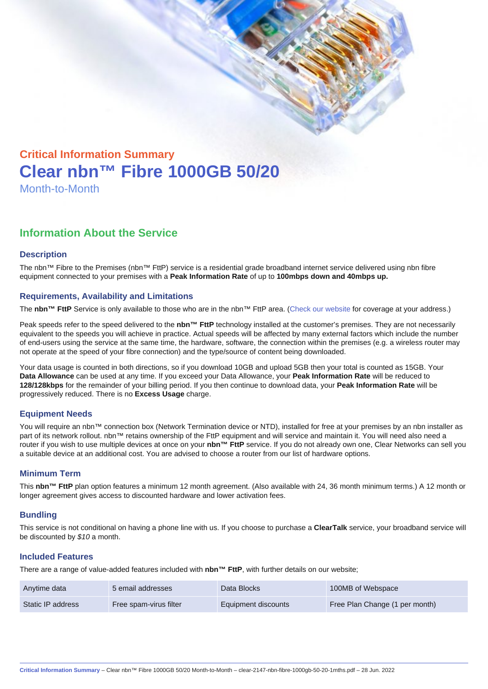# Critical Information Summary Clear nbn™ Fibre 1000GB 50/20 Month-to-Month

## Information About the Service

#### **Description**

The nbn™ Fibre to the Premises (nbn™ FttP) service is a residential grade broadband internet service delivered using nbn fibre equipment connected to your premises with a Peak Information Rate of up to 100mbps down and 40mbps up.

#### Requirements, Availability and Limitations

The nbn™ FttP Service is only available to those who are in the nbn™ FttP area. ([Check our website](https://www.clear.com.au/business/nbn-fixed/) for coverage at your address.)

Peak speeds refer to the speed delivered to the nbn™ FttP technology installed at the customer's premises. They are not necessarily equivalent to the speeds you will achieve in practice. Actual speeds will be affected by many external factors which include the number of end-users using the service at the same time, the hardware, software, the connection within the premises (e.g. a wireless router may not operate at the speed of your fibre connection) and the type/source of content being downloaded.

Your data usage is counted in both directions, so if you download 10GB and upload 5GB then your total is counted as 15GB. Your Data Allowance can be used at any time. If you exceed your Data Allowance, your Peak Information Rate will be reduced to 128/128kbps for the remainder of your billing period. If you then continue to download data, your Peak Information Rate will be progressively reduced. There is no Excess Usage charge.

#### Equipment Needs

You will require an nbn™ connection box (Network Termination device or NTD), installed for free at your premises by an nbn installer as part of its network rollout. nbn™ retains ownership of the FttP equipment and will service and maintain it. You will need also need a router if you wish to use multiple devices at once on your nbn™ FttP service. If you do not already own one, Clear Networks can sell you a suitable device at an additional cost. You are advised to choose a router from our list of hardware options.

#### Minimum Term

This nbn™ FttP plan option features a minimum 12 month agreement. (Also available with 24, 36 month minimum terms.) A 12 month or longer agreement gives access to discounted hardware and lower activation fees.

#### **Bundling**

This service is not conditional on having a phone line with us. If you choose to purchase a ClearTalk service, your broadband service will be discounted by \$10 a month.

#### Included Features

There are a range of value-added features included with nbn™ FttP , with further details on our website;

| Anytime data      | 5 email addresses      | Data Blocks         | 100MB of Webspace              |
|-------------------|------------------------|---------------------|--------------------------------|
| Static IP address | Free spam-virus filter | Equipment discounts | Free Plan Change (1 per month) |